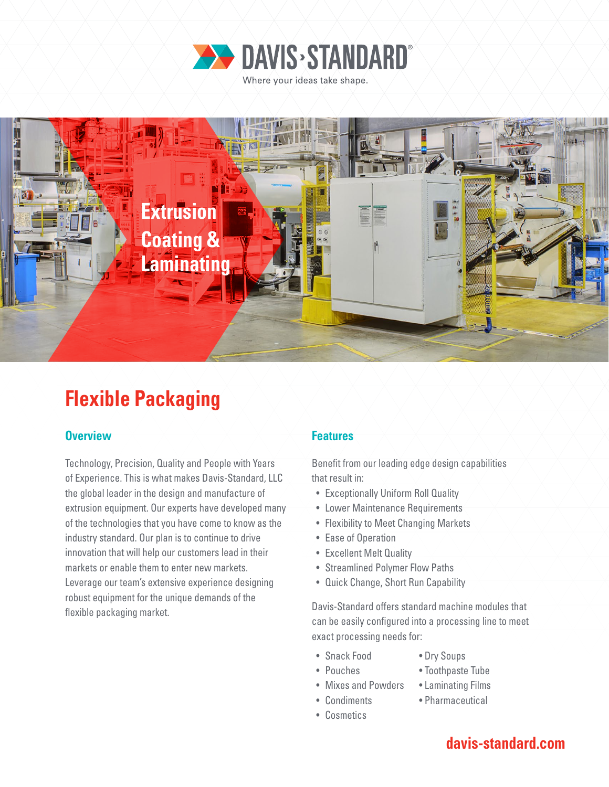



# **Flexible Packaging**

### **Overview Features**

Technology, Precision, Quality and People with Years of Experience. This is what makes Davis-Standard, LLC the global leader in the design and manufacture of extrusion equipment. Our experts have developed many of the technologies that you have come to know as the industry standard. Our plan is to continue to drive innovation that will help our customers lead in their markets or enable them to enter new markets. Leverage our team's extensive experience designing robust equipment for the unique demands of the flexible packaging market.

Benefit from our leading edge design capabilities that result in:

- Exceptionally Uniform Roll Quality
- Lower Maintenance Requirements
- Flexibility to Meet Changing Markets
- Ease of Operation
- Excellent Melt Quality
- Streamlined Polymer Flow Paths
- Quick Change, Short Run Capability

Davis-Standard offers standard machine modules that can be easily configured into a processing line to meet exact processing needs for:

- Snack Food Dry Soups
	-
- 
- Pouches Toothpaste Tube
- Mixes and Powders Laminating Films
- Condiments Pharmaceutical
- Cosmetics
- 

# **davis-standard.com**